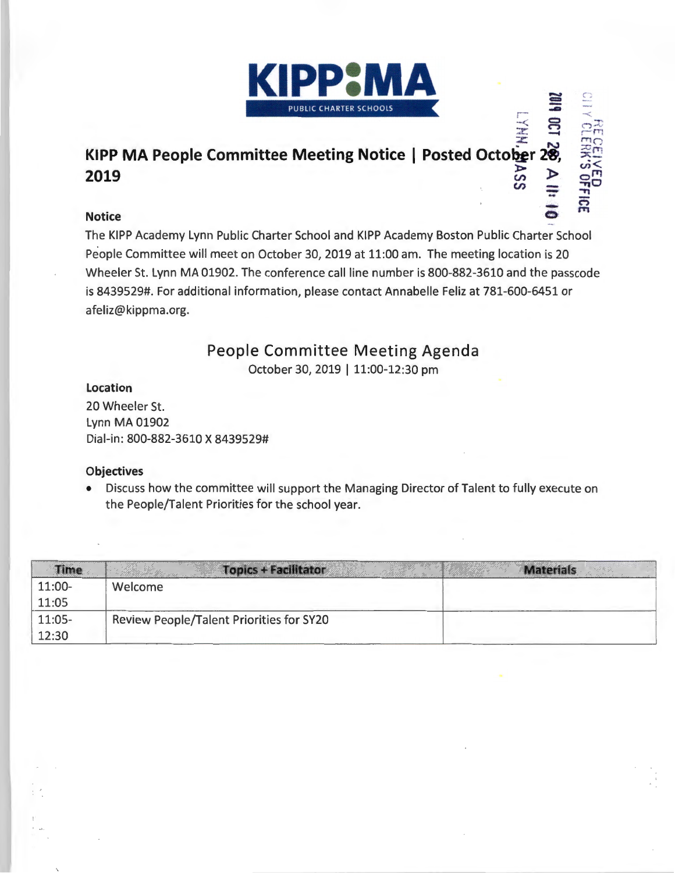

## *:r;* **N KIPP MA People Committee Meeting Notice I Posted October 2«>,**   $2019$   $\frac{1}{10}$   $\frac{1}{10}$   $\frac{1}{10}$   $\frac{1}{10}$   $\frac{1}{10}$   $\frac{1}{10}$   $\frac{1}{10}$   $\frac{1}{10}$   $\frac{1}{10}$   $\frac{1}{10}$   $\frac{1}{10}$   $\frac{1}{10}$   $\frac{1}{10}$   $\frac{1}{10}$   $\frac{1}{10}$   $\frac{1}{10}$   $\frac{1}{10}$   $\frac{1}{10}$   $\frac{1}{10}$   $\frac{1$ all:

# **Notice**  $\overline{\mathbf{a}}$

The KIPP Academy Lynn Public Charter School and KIPP Academy Boston Public Charter School People Committee will meet on October 30, 2019 at 11:00 am. The meeting location is 20 Wheeler St. Lynn MA 01902. The conference call line number is 800-882-3610 and the passcode is 8439529#. For additional information, please contact Annabelle Feliz at 781-600-6451 or afeliz@kippma.org.

## **People Committee Meeting Agenda**

October 30, 2019 | 11:00-12:30 pm

#### **Location**

20 Wheeler St. Lynn MA 01902 Dial-in: 800-882-3610 X 8439529#

#### **Objectives**

• Discuss how the committee will support the Managing Director of Talent to fully execute on the People/Talent Priorities for the school year.

| Time.    | <b>Topics + Facilitator</b>                     | <b>Materials</b> |  |
|----------|-------------------------------------------------|------------------|--|
| 11:00-   | Welcome                                         |                  |  |
| 11:05    |                                                 |                  |  |
| $11:05-$ | <b>Review People/Talent Priorities for SY20</b> |                  |  |
| 12:30    |                                                 |                  |  |